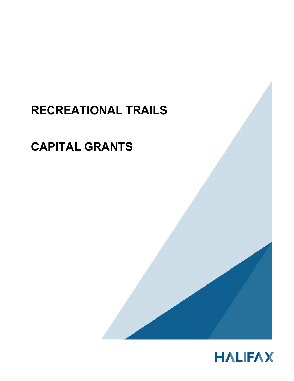# **RECREATIONAL TRAILS**

# **CAPITAL GRANTS**



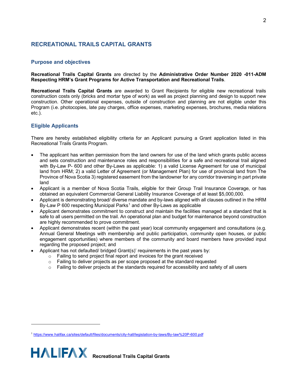# **RECREATIONAL TRAILS CAPITAL GRANTS**

### **Purpose and objectives**

**Recreational Trails Capital Grants** are directed by the **Administrative Order Number 2020 -011-ADM Respecting HRM's Grant Programs for Active Transportation and Recreational Trails**.

**Recreational Trails Capital Grants** are awarded to Grant Recipients for eligible new recreational trails construction costs only (bricks and mortar type of work) as well as project planning and design to support new construction. Other operational expenses, outside of construction and planning are not eligible under this Program (i.e. photocopies, late pay charges, office expenses, marketing expenses, brochures, media relations etc.).

# **Eligible Applicants**

There are hereby established eligibility criteria for an Applicant pursuing a Grant application listed in this Recreational Trails Grants Program.

- The applicant has written permission from the land owners for use of the land which grants public access and sets construction and maintenance roles and responsibilities for a safe and recreational trail aligned with By-Law P- 600 and other By-Laws as applicable: 1) a valid License Agreement for use of municipal land from HRM; 2) a valid Letter of Agreement (or Management Plan) for use of provincial land from The Province of Nova Scotia 3) registered easement from the landowner for any corridor traversing in part private land
- Applicant is a member of Nova Scotia Trails, eligible for their Group Trail Insurance Coverage, or has obtained an equivalent Commercial General Liability Insurance Coverage of at least \$5,000,000.
- Applicant is demonstrating broad/ diverse mandate and by-laws aligned with all clauses outlined in the HRM By-Law P 600 respecting Municipal Parks<sup>[1](#page-1-0)</sup> and other By-Laws as applicable
- Applicant demonstrates commitment to construct and maintain the facilities managed at a standard that is safe to all users permitted on the trail. An operational plan and budget for maintenance beyond construction are highly recommended to prove commitment.
- Applicant demonstrates recent (within the past year) local community engagement and consultations (e.g. Annual General Meetings with membership and public participation, community open houses, or public engagement opportunities) where members of the community and board members have provided input regarding the proposed project; and
- Applicant has not defaulted/ bridged Grant(s)' requirements in the past years by:
	- o Failing to send project final report and invoices for the grant received
	- o Failing to deliver projects as per scope proposed at the standard requested
	- $\circ$  Failing to deliver projects at the standards required for accessibility and safety of all users

<span id="page-1-0"></span><sup>1</sup> <https://www.halifax.ca/sites/default/files/documents/city-hall/legislation-by-laws/By-law%20P-600.pdf>

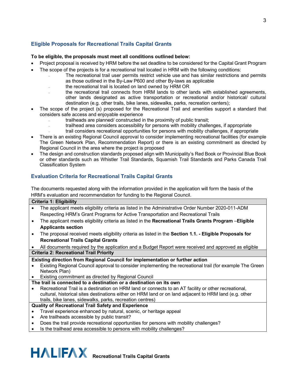# **Eligible Proposals for Recreational Trails Capital Grants**

### **To be eligible, the proposals must meet all conditions outlined below:**

- Project proposal is received by HRM before the set deadline to be considered for the Capital Grant Program
- The scope of the projects is for a recreational trail located in HRM with the following conditions:
	- ₋ The recreational trail user permits restrict vehicle use and has similar restrictions and permits as those outlined in the By-Law P600 and other By-laws as applicable
	- ₋ the recreational trail is located on land owned by HRM OR
	- the recreational trail connects from HRM lands to other lands with established agreements, other lands designated as active transportation or recreational and/or historical/ cultural destination (e.g. other trails, bike lanes, sidewalks, parks, recreation centers);
- The scope of the project (s) proposed for the Recreational Trail and amenities support a standard that considers safe access and enjoyable experience
	- trailheads are planned/ constructed in the proximity of public transit;
	- ₋ trailhead area considers accessibility for persons with mobility challenges, if appropriate
	- ₋ trail considers recreational opportunities for persons with mobility challenges, if appropriate
- There is an existing Regional Council approval to consider implementing recreational facilities (for example The Green Network Plan, Recommendation Report) or there is an existing commitment as directed by Regional Council in the area where the project is proposed
- The design and construction standards proposed align with Municipality's Red Book or Provincial Blue Book or other standards such as Whistler Trail Standards, Squamish Trail Standards and Parks Canada Trail Classification System

# **Evaluation Criteria for Recreational Trails Capital Grants**

The documents requested along with the information provided in the application will form the basis of the HRM's evaluation and recommendation for funding to the Regional Council.

| <b>Criteria 1: Eligibility</b>                                                |                                                                                                           |  |
|-------------------------------------------------------------------------------|-----------------------------------------------------------------------------------------------------------|--|
|                                                                               | The applicant meets eligibility criteria as listed in the Administrative Order Number 2020-011-ADM        |  |
|                                                                               | Respecting HRM's Grant Programs for Active Transportation and Recreational Trails                         |  |
| $\bullet$                                                                     | The applicant meets eligibility criteria as listed in the Recreational Trails Grants Program -Eligible    |  |
|                                                                               | <b>Applicants section</b>                                                                                 |  |
| $\bullet$                                                                     | The proposal received meets eligibility criteria as listed in the Section 1.1. - Eligible Proposals for   |  |
|                                                                               | <b>Recreational Trails Capital Grants</b>                                                                 |  |
|                                                                               | All documents required by the application and a Budget Report were received and approved as eligible      |  |
| <b>Criteria 2: Recreational Trail Priority</b>                                |                                                                                                           |  |
| Existing direction from Regional Council for implementation or further action |                                                                                                           |  |
|                                                                               | Existing Regional Council approval to consider implementing the recreational trail (for example The Green |  |
|                                                                               | Network Plan)                                                                                             |  |
|                                                                               | Existing commitment as directed by Regional Council                                                       |  |
| The trail is connected to a destination or a destination on its own           |                                                                                                           |  |
|                                                                               | Recreational Trail is a destination on HRM land or connects to an AT facility or other recreational,      |  |
|                                                                               | cultural, historical sites destinations either on HRM land or on land adjacent to HRM land (e.g. other    |  |
|                                                                               | trails, bike lanes, sidewalks, parks, recreation centres)                                                 |  |
| <b>Quality of Recreational Trail Safety and Experience</b>                    |                                                                                                           |  |
|                                                                               | Travel experience enhanced by natural, scenic, or heritage appeal                                         |  |
| ٠                                                                             | Are trailheads accessible by public transit?                                                              |  |
|                                                                               | Does the trail provide recreational opportunities for persons with mobility challenges?                   |  |
|                                                                               | la tha tuailleada ann a seachaich an ann an airson ann an ann an chuidheadh a dh                          |  |



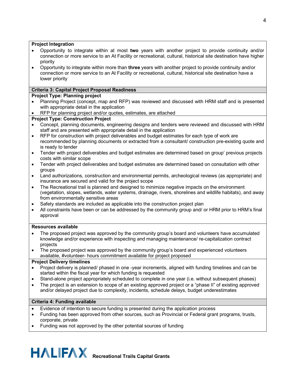### **Project Integration**

- Opportunity to integrate within at most **two** years with another project to provide continuity and/or connection or more service to an At Facility or recreational, cultural, historical site destination have higher priority
- Opportunity to integrate within more than **three** years with another project to provide continuity and/or connection or more service to an At Facility or recreational, cultural, historical site destination have a lower priority

## **Criteria 3: Capital Project Proposal Readiness**

# **Project Type: Planning project**

- Planning Project (concept, map and RFP) was reviewed and discussed with HRM staff and is presented with appropriate detail in the application
- RFP for planning project and/or quotes, estimates, are attached

# **Project Type: Construction Project**

- Concept, planning documents, engineering designs and tenders were reviewed and discussed with HRM staff and are presented with appropriate detail in the application
- RFP for construction with project deliverables and budget estimates for each type of work are recommended by planning documents or extracted from a consultant/ construction pre-existing quote and is ready to tender
- Tender with project deliverables and budget estimates are determined based on group' previous projects costs with similar scope
- Tender with project deliverables and budget estimates are determined based on consultation with other groups
- Land authorizations, construction and environmental permits, archeological reviews (as appropriate) and insurance are secured and valid for the project scope
- The Recreational trail is planned and designed to minimize negative impacts on the environment (vegetation, slopes, wetlands, water systems, drainage, rivers, shorelines and wildlife habitats), and away from environmentally sensitive areas
- Safety standards are included as applicable into the construction project plan
- All constraints have been or can be addressed by the community group and/ or HRM prior to HRM's final approval

### **Resources available**

- The proposed project was approved by the community group's board and volunteers have accumulated knowledge and/or experience with inspecting and managing maintenance/ re-capitalization contract projects
- The proposed project was approved by the community group's board and experienced volunteers available, #volunteer- hours commitment available for project proposed

### **Project Delivery timelines**

- Project delivery is planned/ phased in one -year increments, aligned with funding timelines and can be started within the fiscal year for which funding is requested
- Stand-alone project appropriately scheduled to complete in one year (i.e. without subsequent phases)
- The project is an extension to scope of an existing approved project or a "phase II" of existing approved and/or delayed project due to complexity, incidents, schedule delays, budget underestimates

# **Criteria 4: Funding available**

- Evidence of intention to secure funding is presented during the application process
- Funding has been approved from other sources, such as Provincial or Federal grant programs, trusts, corporate, private
- Funding was not approved by the other potential sources of funding

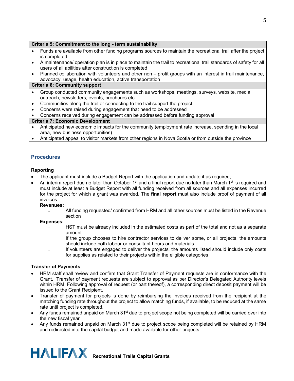#### **Criteria 5: Commitment to the long - term sustainability**

- Funds are available from other funding programs sources to maintain the recreational trail after the project is completed
- A maintenance/ operation plan is in place to maintain the trail to recreational trail standards of safety for all users of all abilities after construction is completed
- Planned collaboration with volunteers and other non profit groups with an interest in trail maintenance, advocacy, usage, health education, active transportation

#### **Criteria 6: Community support**

- Group conducted community engagements such as workshops, meetings, surveys, website, media outreach, newsletters, events, brochures etc
- Communities along the trail or connecting to the trail support the project
- Concerns were raised during engagement that need to be addressed
- Concerns received during engagement can be addressed before funding approval

#### **Criteria 7: Economic Development**

- Anticipated new economic impacts for the community (employment rate increase, spending in the local area, new business opportunities)
- Anticipated appeal to visitor markets from other regions in Nova Scotia or from outside the province

# **Procedures**

#### **Reporting**

- The applicant must include a Budget Report with the application and update it as required;
- An interim report due no later than October 1<sup>st</sup> and a final report due no later than March 1<sup>st</sup> is required and must include at least a Budget Report with all funding received from all sources and all expenses incurred for the project for which a grant was awarded. The **final report** must also include proof of payment of all invoices.

#### **Revenues:**

All funding requested/ confirmed from HRM and all other sources must be listed in the Revenue section

#### **Expenses:**

- HST must be already included in the estimated costs as part of the total and not as a separate amount
- If the group chooses to hire contractor services to deliver some, or all projects, the amounts should include both labour or consultant hours and materials
- ₋ If volunteers are engaged to deliver the projects, the amounts listed should include only costs for supplies as related to their projects within the eligible categories

#### **Transfer of Payments**

- HRM staff shall review and confirm that Grant Transfer of Payment requests are in conformance with the Grant. Transfer of payment requests are subject to approval as per Director's Delegated Authority levels within HRM. Following approval of request (or part thereof), a corresponding direct deposit payment will be issued to the Grant Recipient.
- Transfer of payment for projects is done by reimbursing the invoices received from the recipient at the matching funding rate throughout the project to allow matching funds, if available, to be reduced at the same rate until project is completed.
- Any funds remained unpaid on March 31<sup>st</sup> due to project scope not being completed will be carried over into the new fiscal year
- Any funds remained unpaid on March 31<sup>st</sup> due to project scope being completed will be retained by HRM and redirected into the capital budget and made available for other projects